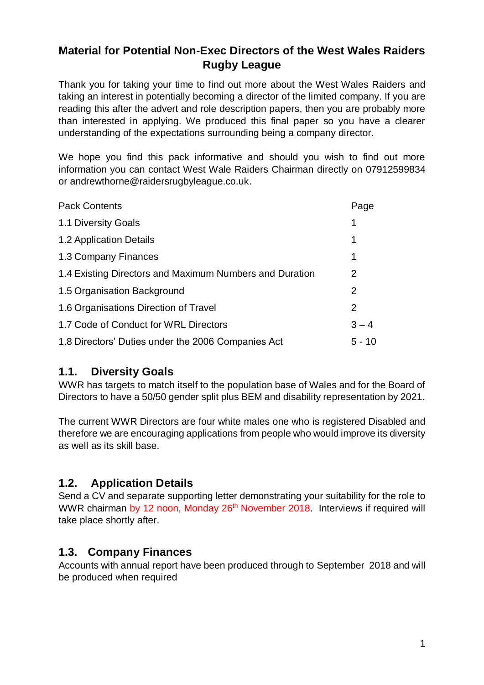# **Material for Potential Non-Exec Directors of the West Wales Raiders Rugby League**

Thank you for taking your time to find out more about the West Wales Raiders and taking an interest in potentially becoming a director of the limited company. If you are reading this after the advert and role description papers, then you are probably more than interested in applying. We produced this final paper so you have a clearer understanding of the expectations surrounding being a company director.

We hope you find this pack informative and should you wish to find out more information you can contact West Wale Raiders Chairman directly on 07912599834 or andrewthorne@raidersrugbyleague.co.uk.

| <b>Pack Contents</b>                                    | Page           |
|---------------------------------------------------------|----------------|
| 1.1 Diversity Goals                                     | 1              |
| 1.2 Application Details                                 | 1              |
| 1.3 Company Finances                                    | 1              |
| 1.4 Existing Directors and Maximum Numbers and Duration | $\overline{2}$ |
| 1.5 Organisation Background                             | 2              |
| 1.6 Organisations Direction of Travel                   | 2              |
| 1.7 Code of Conduct for WRL Directors                   | $3 - 4$        |
| 1.8 Directors' Duties under the 2006 Companies Act      | $5 - 10$       |

## **1.1. Diversity Goals**

WWR has targets to match itself to the population base of Wales and for the Board of Directors to have a 50/50 gender split plus BEM and disability representation by 2021.

The current WWR Directors are four white males one who is registered Disabled and therefore we are encouraging applications from people who would improve its diversity as well as its skill base.

## **1.2. Application Details**

Send a CV and separate supporting letter demonstrating your suitability for the role to WWR chairman by 12 noon, Monday 26<sup>th</sup> November 2018. Interviews if required will take place shortly after.

## **1.3. Company Finances**

Accounts with annual report have been produced through to September 2018 and will be produced when required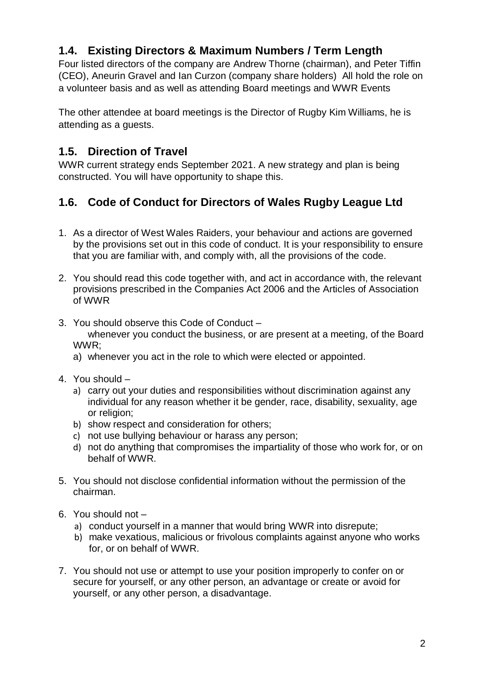# **1.4. Existing Directors & Maximum Numbers / Term Length**

Four listed directors of the company are Andrew Thorne (chairman), and Peter Tiffin (CEO), Aneurin Gravel and Ian Curzon (company share holders) All hold the role on a volunteer basis and as well as attending Board meetings and WWR Events

The other attendee at board meetings is the Director of Rugby Kim Williams, he is attending as a guests.

#### **1.5. Direction of Travel**

WWR current strategy ends September 2021. A new strategy and plan is being constructed. You will have opportunity to shape this.

# **1.6. Code of Conduct for Directors of Wales Rugby League Ltd**

- 1. As a director of West Wales Raiders, your behaviour and actions are governed by the provisions set out in this code of conduct. It is your responsibility to ensure that you are familiar with, and comply with, all the provisions of the code.
- 2. You should read this code together with, and act in accordance with, the relevant provisions prescribed in the Companies Act 2006 and the Articles of Association of WWR
- 3. You should observe this Code of Conduct whenever you conduct the business, or are present at a meeting, of the Board WWR;
	- a) whenever you act in the role to which were elected or appointed.
- 4. You should
	- a) carry out your duties and responsibilities without discrimination against any individual for any reason whether it be gender, race, disability, sexuality, age or religion:
	- b) show respect and consideration for others;
	- c) not use bullying behaviour or harass any person;
	- d) not do anything that compromises the impartiality of those who work for, or on behalf of WWR.
- 5. You should not disclose confidential information without the permission of the chairman.
- 6. You should not
	- a) conduct yourself in a manner that would bring WWR into disrepute;
	- b) make vexatious, malicious or frivolous complaints against anyone who works for, or on behalf of WWR.
- 7. You should not use or attempt to use your position improperly to confer on or secure for yourself, or any other person, an advantage or create or avoid for yourself, or any other person, a disadvantage.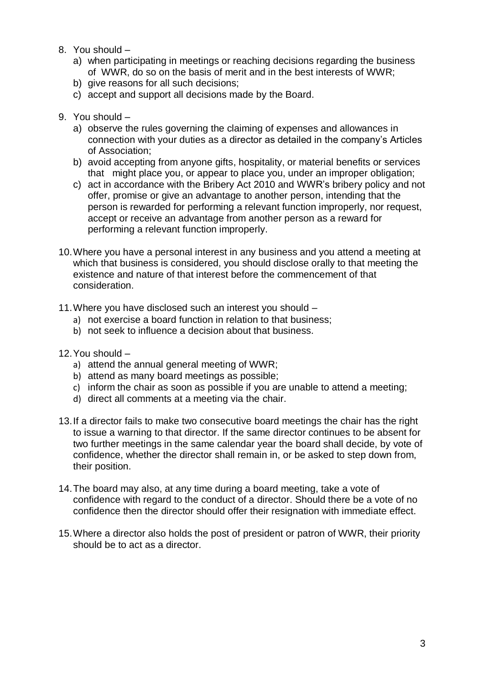- 8. You should
	- a) when participating in meetings or reaching decisions regarding the business of WWR, do so on the basis of merit and in the best interests of WWR;
	- b) give reasons for all such decisions;
	- c) accept and support all decisions made by the Board.
- 9. You should
	- a) observe the rules governing the claiming of expenses and allowances in connection with your duties as a director as detailed in the company's Articles of Association;
	- b) avoid accepting from anyone gifts, hospitality, or material benefits or services that might place you, or appear to place you, under an improper obligation;
	- c) act in accordance with the Bribery Act 2010 and WWR's bribery policy and not offer, promise or give an advantage to another person, intending that the person is rewarded for performing a relevant function improperly, nor request, accept or receive an advantage from another person as a reward for performing a relevant function improperly.
- 10.Where you have a personal interest in any business and you attend a meeting at which that business is considered, you should disclose orally to that meeting the existence and nature of that interest before the commencement of that consideration.
- 11.Where you have disclosed such an interest you should
	- a) not exercise a board function in relation to that business;
	- b) not seek to influence a decision about that business.
- 12.You should
	- a) attend the annual general meeting of WWR;
	- b) attend as many board meetings as possible;
	- c) inform the chair as soon as possible if you are unable to attend a meeting;
	- d) direct all comments at a meeting via the chair.
- 13.If a director fails to make two consecutive board meetings the chair has the right to issue a warning to that director. If the same director continues to be absent for two further meetings in the same calendar year the board shall decide, by vote of confidence, whether the director shall remain in, or be asked to step down from, their position.
- 14.The board may also, at any time during a board meeting, take a vote of confidence with regard to the conduct of a director. Should there be a vote of no confidence then the director should offer their resignation with immediate effect.
- 15.Where a director also holds the post of president or patron of WWR, their priority should be to act as a director.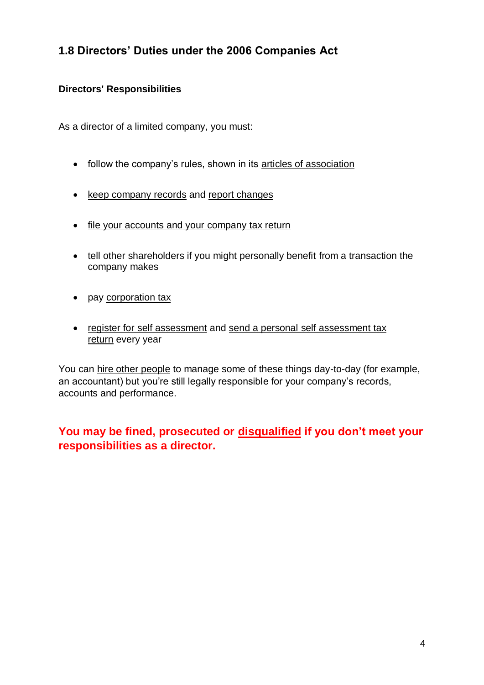# **1.8 Directors' Duties under the 2006 Companies Act**

#### **Directors' Responsibilities**

As a director of a limited company, you must:

- follow the company's rules, shown in its [articles of association](https://www.gov.uk/limited-company-formation/memorandum-and-articles-of-association)
- [keep company records](https://www.gov.uk/running-a-limited-company/company-and-accounting-records) and [report changes](https://www.gov.uk/running-a-limited-company/company-changes-you-must-report)
- [file your accounts and your company tax return](https://www.gov.uk/prepare-file-annual-accounts-for-limited-company/file-your-accounts-and-company-tax-return)
- tell other shareholders if you might personally benefit from a transaction the company makes
- pay [corporation tax](https://www.gov.uk/corporation-tax)
- [register for self assessment](https://www.gov.uk/log-in-file-self-assessment-tax-return) and [send a personal self assessment tax](https://www.gov.uk/self-assessment-tax-returns)  [return](https://www.gov.uk/self-assessment-tax-returns) every year

You can [hire other people](https://www.gov.uk/tax-help) to manage some of these things day-to-day (for example, an accountant) but you're still legally responsible for your company's records, accounts and performance.

# **You may be fined, prosecuted or [disqualified](https://www.gov.uk/company-director-disqualification) if you don't meet your responsibilities as a director.**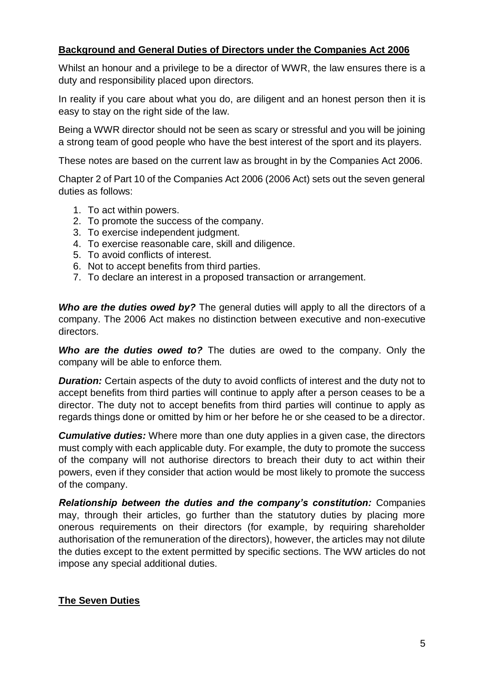#### **Background and General Duties of Directors under the Companies Act 2006**

Whilst an honour and a privilege to be a director of WWR, the law ensures there is a duty and responsibility placed upon directors.

In reality if you care about what you do, are diligent and an honest person then it is easy to stay on the right side of the law.

Being a WWR director should not be seen as scary or stressful and you will be joining a strong team of good people who have the best interest of the sport and its players.

These notes are based on the current law as brought in by the Companies Act 2006.

Chapter 2 of Part 10 of the Companies Act 2006 (2006 Act) sets out the seven general duties as follows:

- 1. To act within powers.
- 2. To promote the success of the company.
- 3. To exercise independent judgment.
- 4. To exercise reasonable care, skill and diligence.
- 5. To avoid conflicts of interest.
- 6. Not to accept benefits from third parties.
- 7. To declare an interest in a proposed transaction or arrangement.

*Who are the duties owed by?* The general duties will apply to all the directors of a company. The 2006 Act makes no distinction between executive and non-executive directors.

*Who are the duties owed to?* The duties are owed to the company. Only the company will be able to enforce them.

*Duration:* Certain aspects of the duty to avoid conflicts of interest and the duty not to accept benefits from third parties will continue to apply after a person ceases to be a director. The duty not to accept benefits from third parties will continue to apply as regards things done or omitted by him or her before he or she ceased to be a director.

*Cumulative duties:* Where more than one duty applies in a given case, the directors must comply with each applicable duty. For example, the duty to promote the success of the company will not authorise directors to breach their duty to act within their powers, even if they consider that action would be most likely to promote the success of the company.

*Relationship between the duties and the company's constitution:* Companies may, through their articles, go further than the statutory duties by placing more onerous requirements on their directors (for example, by requiring shareholder authorisation of the remuneration of the directors), however, the articles may not dilute the duties except to the extent permitted by specific sections. The WW articles do not impose any special additional duties.

#### **The Seven Duties**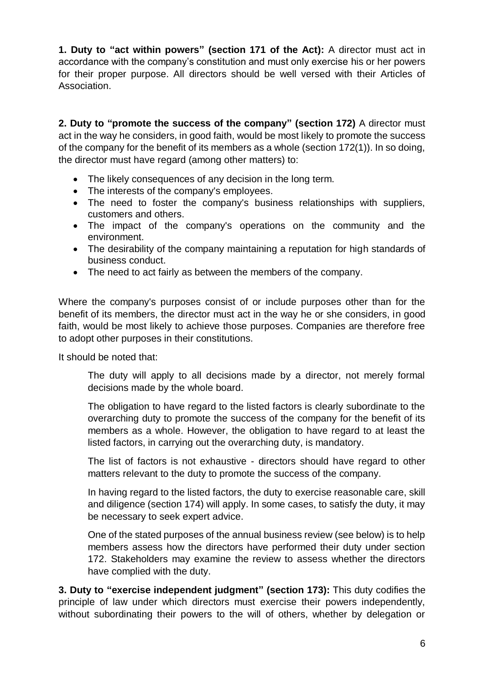**1. Duty to "act within powers" (section 171 of the Act):** A director must act in accordance with the company's constitution and must only exercise his or her powers for their proper purpose. All directors should be well versed with their Articles of Association.

**2. Duty to "promote the success of the company" (section 172)** A director must act in the way he considers, in good faith, would be most likely to promote the success of the company for the benefit of its members as a whole (section 172(1)). In so doing, the director must have regard (among other matters) to:

- The likely consequences of any decision in the long term.
- The interests of the company's employees.
- The need to foster the company's business relationships with suppliers, customers and others.
- The impact of the company's operations on the community and the environment.
- The desirability of the company maintaining a reputation for high standards of business conduct.
- The need to act fairly as between the members of the company.

Where the company's purposes consist of or include purposes other than for the benefit of its members, the director must act in the way he or she considers, in good faith, would be most likely to achieve those purposes. Companies are therefore free to adopt other purposes in their constitutions.

It should be noted that:

The duty will apply to all decisions made by a director, not merely formal decisions made by the whole board.

The obligation to have regard to the listed factors is clearly subordinate to the overarching duty to promote the success of the company for the benefit of its members as a whole. However, the obligation to have regard to at least the listed factors, in carrying out the overarching duty, is mandatory.

The list of factors is not exhaustive - directors should have regard to other matters relevant to the duty to promote the success of the company.

In having regard to the listed factors, the duty to exercise reasonable care, skill and diligence (section 174) will apply. In some cases, to satisfy the duty, it may be necessary to seek expert advice.

One of the stated purposes of the annual business review (see below) is to help members assess how the directors have performed their duty under section 172. Stakeholders may examine the review to assess whether the directors have complied with the duty.

**3. Duty to "exercise independent judgment" (section 173):** This duty codifies the principle of law under which directors must exercise their powers independently, without subordinating their powers to the will of others, whether by delegation or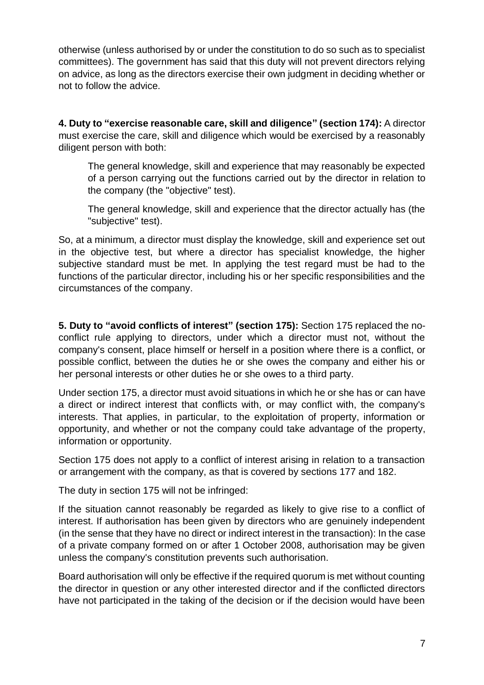otherwise (unless authorised by or under the constitution to do so such as to specialist committees). The government has said that this duty will not prevent directors relying on advice, as long as the directors exercise their own judgment in deciding whether or not to follow the advice.

**4. Duty to "exercise reasonable care, skill and diligence" (section 174):** A director must exercise the care, skill and diligence which would be exercised by a reasonably diligent person with both:

The general knowledge, skill and experience that may reasonably be expected of a person carrying out the functions carried out by the director in relation to the company (the "objective" test).

The general knowledge, skill and experience that the director actually has (the "subjective" test).

So, at a minimum, a director must display the knowledge, skill and experience set out in the objective test, but where a director has specialist knowledge, the higher subjective standard must be met. In applying the test regard must be had to the functions of the particular director, including his or her specific responsibilities and the circumstances of the company.

**5. Duty to "avoid conflicts of interest" (section 175):** Section 175 replaced the noconflict rule applying to directors, under which a director must not, without the company's consent, place himself or herself in a position where there is a conflict, or possible conflict, between the duties he or she owes the company and either his or her personal interests or other duties he or she owes to a third party.

Under section 175, a director must avoid situations in which he or she has or can have a direct or indirect interest that conflicts with, or may conflict with, the company's interests. That applies, in particular, to the exploitation of property, information or opportunity, and whether or not the company could take advantage of the property, information or opportunity.

Section 175 does not apply to a conflict of interest arising in relation to a transaction or arrangement with the company, as that is covered by sections 177 and 182.

The duty in section 175 will not be infringed:

If the situation cannot reasonably be regarded as likely to give rise to a conflict of interest. If authorisation has been given by directors who are genuinely independent (in the sense that they have no direct or indirect interest in the transaction): In the case of a private company formed on or after 1 October 2008, authorisation may be given unless the company's constitution prevents such authorisation.

Board authorisation will only be effective if the required quorum is met without counting the director in question or any other interested director and if the conflicted directors have not participated in the taking of the decision or if the decision would have been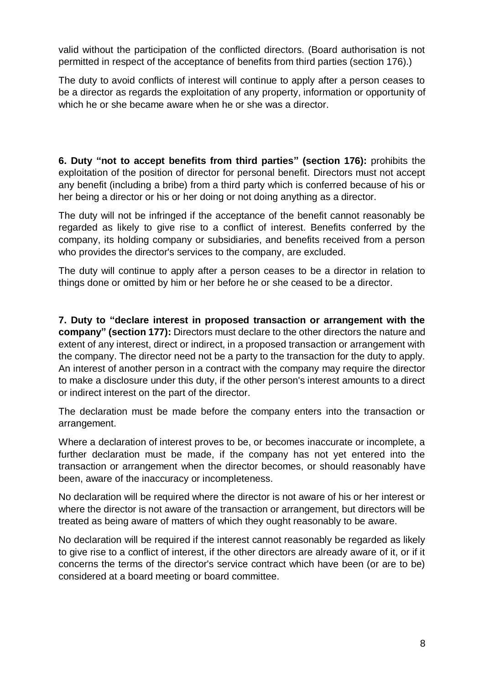valid without the participation of the conflicted directors. (Board authorisation is not permitted in respect of the acceptance of benefits from third parties (section 176).)

The duty to avoid conflicts of interest will continue to apply after a person ceases to be a director as regards the exploitation of any property, information or opportunity of which he or she became aware when he or she was a director.

**6. Duty "not to accept benefits from third parties" (section 176):** prohibits the exploitation of the position of director for personal benefit. Directors must not accept any benefit (including a bribe) from a third party which is conferred because of his or her being a director or his or her doing or not doing anything as a director.

The duty will not be infringed if the acceptance of the benefit cannot reasonably be regarded as likely to give rise to a conflict of interest. Benefits conferred by the company, its holding company or subsidiaries, and benefits received from a person who provides the director's services to the company, are excluded.

The duty will continue to apply after a person ceases to be a director in relation to things done or omitted by him or her before he or she ceased to be a director.

**7. Duty to "declare interest in proposed transaction or arrangement with the company" (section 177):** Directors must declare to the other directors the nature and extent of any interest, direct or indirect, in a proposed transaction or arrangement with the company. The director need not be a party to the transaction for the duty to apply. An interest of another person in a contract with the company may require the director to make a disclosure under this duty, if the other person's interest amounts to a direct or indirect interest on the part of the director.

The declaration must be made before the company enters into the transaction or arrangement.

Where a declaration of interest proves to be, or becomes inaccurate or incomplete, a further declaration must be made, if the company has not yet entered into the transaction or arrangement when the director becomes, or should reasonably have been, aware of the inaccuracy or incompleteness.

No declaration will be required where the director is not aware of his or her interest or where the director is not aware of the transaction or arrangement, but directors will be treated as being aware of matters of which they ought reasonably to be aware.

No declaration will be required if the interest cannot reasonably be regarded as likely to give rise to a conflict of interest, if the other directors are already aware of it, or if it concerns the terms of the director's service contract which have been (or are to be) considered at a board meeting or board committee.